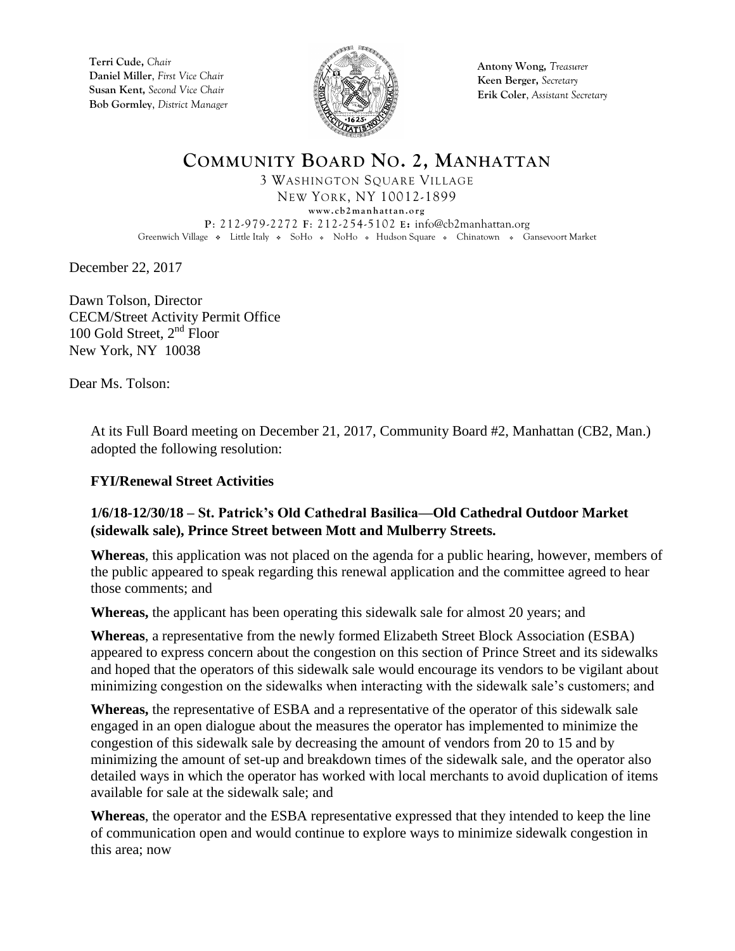**Terri Cude,** *Chair* **Daniel Miller**, *First Vice Chair* **Susan Kent,** *Second Vice Chair* **Bob Gormley**, *District Manager*



**Antony Wong,** *Treasurer* **Keen Berger,** *Secretary* **Erik Coler**, *Assistant Secretary*

**COMMUNITY BOARD NO. 2, MANHATTAN** 3 WASHINGTON SQUARE VILLAGE NEW YORK, NY 10012-1899  $www. cb2 manhattan.org$ **P**: 212-979-2272 **F**: 212-254-5102 **E:** info@cb2manhattan.org Greenwich Village • Little Italy • SoHo • NoHo • Hudson Square • Chinatown • Gansevoort Market

December 22, 2017

Dawn Tolson, Director CECM/Street Activity Permit Office 100 Gold Street,  $2<sup>nd</sup>$  Floor New York, NY 10038

Dear Ms. Tolson:

At its Full Board meeting on December 21, 2017, Community Board #2, Manhattan (CB2, Man.) adopted the following resolution:

## **FYI/Renewal Street Activities**

## **1/6/18-12/30/18 – St. Patrick's Old Cathedral Basilica—Old Cathedral Outdoor Market (sidewalk sale), Prince Street between Mott and Mulberry Streets.**

**Whereas**, this application was not placed on the agenda for a public hearing, however, members of the public appeared to speak regarding this renewal application and the committee agreed to hear those comments; and

**Whereas,** the applicant has been operating this sidewalk sale for almost 20 years; and

**Whereas**, a representative from the newly formed Elizabeth Street Block Association (ESBA) appeared to express concern about the congestion on this section of Prince Street and its sidewalks and hoped that the operators of this sidewalk sale would encourage its vendors to be vigilant about minimizing congestion on the sidewalks when interacting with the sidewalk sale's customers; and

**Whereas,** the representative of ESBA and a representative of the operator of this sidewalk sale engaged in an open dialogue about the measures the operator has implemented to minimize the congestion of this sidewalk sale by decreasing the amount of vendors from 20 to 15 and by minimizing the amount of set-up and breakdown times of the sidewalk sale, and the operator also detailed ways in which the operator has worked with local merchants to avoid duplication of items available for sale at the sidewalk sale; and

**Whereas**, the operator and the ESBA representative expressed that they intended to keep the line of communication open and would continue to explore ways to minimize sidewalk congestion in this area; now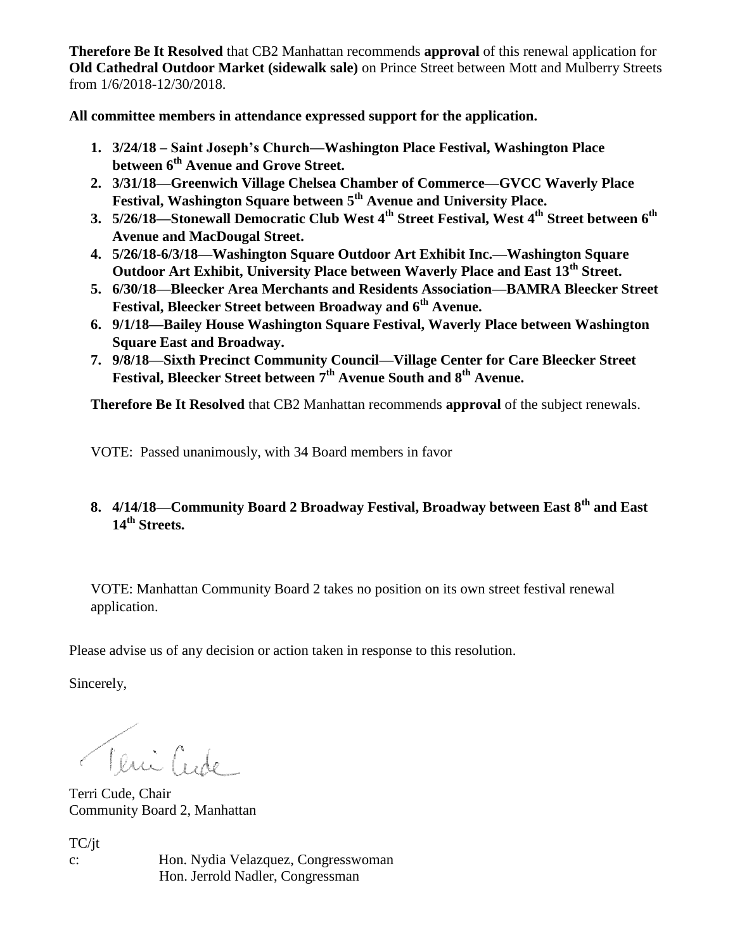**Therefore Be It Resolved** that CB2 Manhattan recommends **approval** of this renewal application for **Old Cathedral Outdoor Market (sidewalk sale)** on Prince Street between Mott and Mulberry Streets from 1/6/2018-12/30/2018.

**All committee members in attendance expressed support for the application.** 

- **1. 3/24/18 – Saint Joseph's Church—Washington Place Festival, Washington Place between 6th Avenue and Grove Street.**
- **2. 3/31/18—Greenwich Village Chelsea Chamber of Commerce—GVCC Waverly Place Festival, Washington Square between 5th Avenue and University Place.**
- **3. 5/26/18—Stonewall Democratic Club West 4th Street Festival, West 4th Street between 6th Avenue and MacDougal Street.**
- **4. 5/26/18-6/3/18—Washington Square Outdoor Art Exhibit Inc.—Washington Square Outdoor Art Exhibit, University Place between Waverly Place and East 13th Street.**
- **5. 6/30/18—Bleecker Area Merchants and Residents Association—BAMRA Bleecker Street Festival, Bleecker Street between Broadway and 6th Avenue.**
- **6. 9/1/18—Bailey House Washington Square Festival, Waverly Place between Washington Square East and Broadway.**
- **7. 9/8/18—Sixth Precinct Community Council—Village Center for Care Bleecker Street Festival, Bleecker Street between 7th Avenue South and 8th Avenue.**

**Therefore Be It Resolved** that CB2 Manhattan recommends **approval** of the subject renewals.

VOTE: Passed unanimously, with 34 Board members in favor

**8. 4/14/18—Community Board 2 Broadway Festival, Broadway between East 8th and East 14th Streets.**

VOTE: Manhattan Community Board 2 takes no position on its own street festival renewal application.

Please advise us of any decision or action taken in response to this resolution.

Sincerely,

Teni Cude

Terri Cude, Chair Community Board 2, Manhattan

TC/jt c: Hon. Nydia Velazquez, Congresswoman Hon. Jerrold Nadler, Congressman